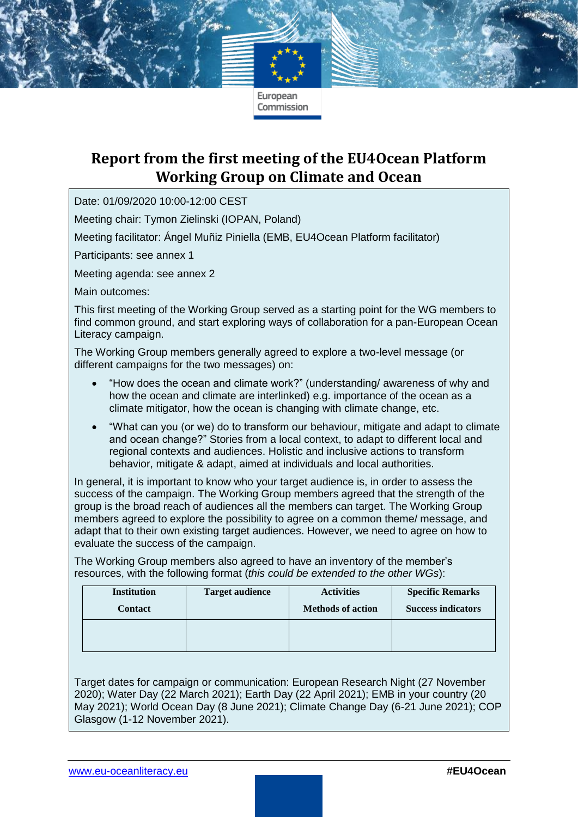### **Report from the first meeting of the EU4Ocean Platform Working Group on Climate and Ocean**

Date: 01/09/2020 10:00-12:00 CEST

Meeting chair: Tymon Zielinski (IOPAN, Poland)

Meeting facilitator: Ángel Muñiz Piniella (EMB, EU4Ocean Platform facilitator)

Participants: see annex 1

Meeting agenda: see annex 2

Main outcomes:

This first meeting of the Working Group served as a starting point for the WG members to find common ground, and start exploring ways of collaboration for a pan-European Ocean Literacy campaign.

The Working Group members generally agreed to explore a two-level message (or different campaigns for the two messages) on:

- "How does the ocean and climate work?" (understanding/ awareness of why and how the ocean and climate are interlinked) e.g. importance of the ocean as a climate mitigator, how the ocean is changing with climate change, etc.
- "What can you (or we) do to transform our behaviour, mitigate and adapt to climate and ocean change?" Stories from a local context, to adapt to different local and regional contexts and audiences. Holistic and inclusive actions to transform behavior, mitigate & adapt, aimed at individuals and local authorities.

In general, it is important to know who your target audience is, in order to assess the success of the campaign. The Working Group members agreed that the strength of the group is the broad reach of audiences all the members can target. The Working Group members agreed to explore the possibility to agree on a common theme/ message, and adapt that to their own existing target audiences. However, we need to agree on how to evaluate the success of the campaign.

The Working Group members also agreed to have an inventory of the member's resources, with the following format (*this could be extended to the other WGs*):

| <b>Institution</b> | <b>Target audience</b> | <b>Activities</b>        | <b>Specific Remarks</b>   |
|--------------------|------------------------|--------------------------|---------------------------|
| <b>Contact</b>     |                        | <b>Methods of action</b> | <b>Success indicators</b> |
|                    |                        |                          |                           |
|                    |                        |                          |                           |

Target dates for campaign or communication: European Research Night (27 November 2020); Water Day (22 March 2021); Earth Day (22 April 2021); EMB in your country (20 May 2021); World Ocean Day (8 June 2021); Climate Change Day (6-21 June 2021); COP Glasgow (1-12 November 2021).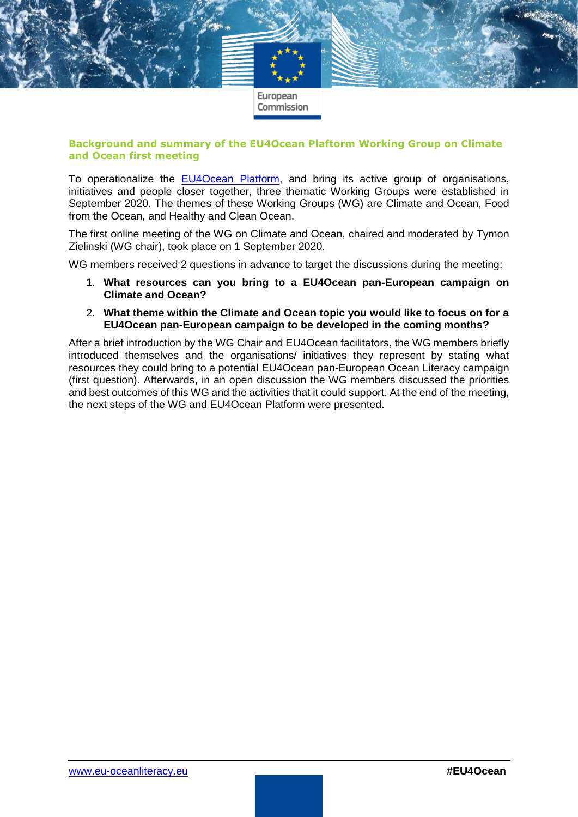

#### **Background and summary of the EU4Ocean Plaftorm Working Group on Climate and Ocean first meeting**

To operationalize the [EU4Ocean Platform,](https://webgate.ec.europa.eu/maritimeforum/en/frontpage/1483) and bring its active group of organisations, initiatives and people closer together, three thematic Working Groups were established in September 2020. The themes of these Working Groups (WG) are Climate and Ocean, Food from the Ocean, and Healthy and Clean Ocean.

The first online meeting of the WG on Climate and Ocean, chaired and moderated by Tymon Zielinski (WG chair), took place on 1 September 2020.

WG members received 2 questions in advance to target the discussions during the meeting:

- 1. **What resources can you bring to a EU4Ocean pan-European campaign on Climate and Ocean?**
- 2. **What theme within the Climate and Ocean topic you would like to focus on for a EU4Ocean pan-European campaign to be developed in the coming months?**

After a brief introduction by the WG Chair and EU4Ocean facilitators, the WG members briefly introduced themselves and the organisations/ initiatives they represent by stating what resources they could bring to a potential EU4Ocean pan-European Ocean Literacy campaign (first question). Afterwards, in an open discussion the WG members discussed the priorities and best outcomes of this WG and the activities that it could support. At the end of the meeting, the next steps of the WG and EU4Ocean Platform were presented.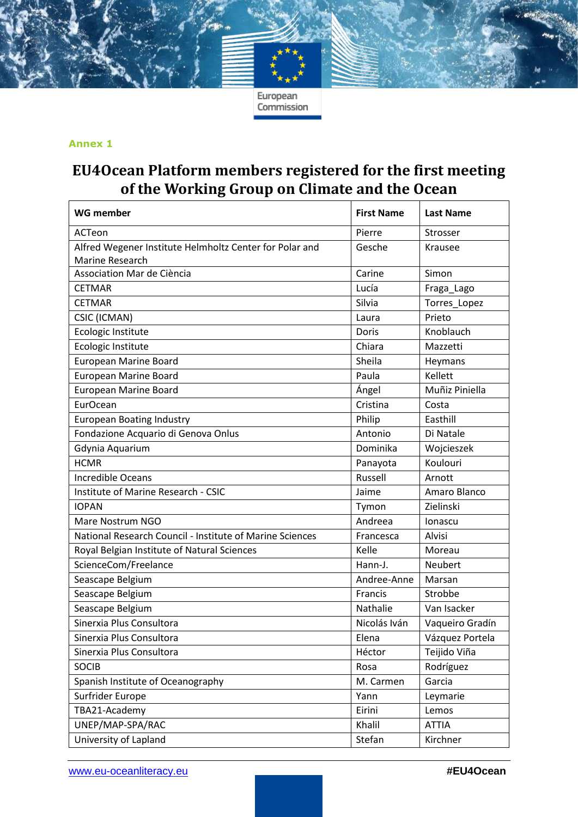#### **Annex 1**

## **EU4Ocean Platform members registered for the first meeting of the Working Group on Climate and the Ocean**

| <b>WG member</b>                                                                  | <b>First Name</b> | <b>Last Name</b> |
|-----------------------------------------------------------------------------------|-------------------|------------------|
| ACTeon                                                                            | Pierre            | Strosser         |
| Alfred Wegener Institute Helmholtz Center for Polar and<br><b>Marine Research</b> | Gesche            | Krausee          |
| Association Mar de Ciència                                                        | Carine            | Simon            |
| <b>CETMAR</b>                                                                     | Lucía             | Fraga_Lago       |
| <b>CETMAR</b>                                                                     | Silvia            | Torres Lopez     |
| <b>CSIC (ICMAN)</b>                                                               | Laura             | Prieto           |
| Ecologic Institute                                                                | Doris             | Knoblauch        |
| Ecologic Institute                                                                | Chiara            | Mazzetti         |
| <b>European Marine Board</b>                                                      | Sheila            | Heymans          |
| European Marine Board                                                             | Paula             | Kellett          |
| <b>European Marine Board</b>                                                      | Ángel             | Muñiz Piniella   |
| EurOcean                                                                          | Cristina          | Costa            |
| <b>European Boating Industry</b>                                                  | Philip            | Easthill         |
| Fondazione Acquario di Genova Onlus                                               | Antonio           | Di Natale        |
| Gdynia Aquarium                                                                   | Dominika          | Wojcieszek       |
| <b>HCMR</b>                                                                       | Panayota          | Koulouri         |
| <b>Incredible Oceans</b>                                                          | Russell           | Arnott           |
| Institute of Marine Research - CSIC                                               | Jaime             | Amaro Blanco     |
| <b>IOPAN</b>                                                                      | Tymon             | Zielinski        |
| Mare Nostrum NGO                                                                  | Andreea           | Ionascu          |
| National Research Council - Institute of Marine Sciences                          | Francesca         | Alvisi           |
| Royal Belgian Institute of Natural Sciences                                       | Kelle             | Moreau           |
| ScienceCom/Freelance                                                              | Hann-J.           | Neubert          |
| Seascape Belgium                                                                  | Andree-Anne       | Marsan           |
| Seascape Belgium                                                                  | Francis           | Strobbe          |
| Seascape Belgium                                                                  | Nathalie          | Van Isacker      |
| Sinerxia Plus Consultora                                                          | Nicolás Iván      | Vaqueiro Gradín  |
| Sinerxia Plus Consultora                                                          | Elena             | Vázquez Portela  |
| Sinerxia Plus Consultora                                                          | Héctor            | Teijido Viña     |
| <b>SOCIB</b>                                                                      | Rosa              | Rodríguez        |
| Spanish Institute of Oceanography                                                 | M. Carmen         | Garcia           |
| Surfrider Europe                                                                  | Yann              | Leymarie         |
| TBA21-Academy                                                                     | Eirini            | Lemos            |
| UNEP/MAP-SPA/RAC                                                                  | Khalil            | <b>ATTIA</b>     |
| University of Lapland                                                             | Stefan            | Kirchner         |